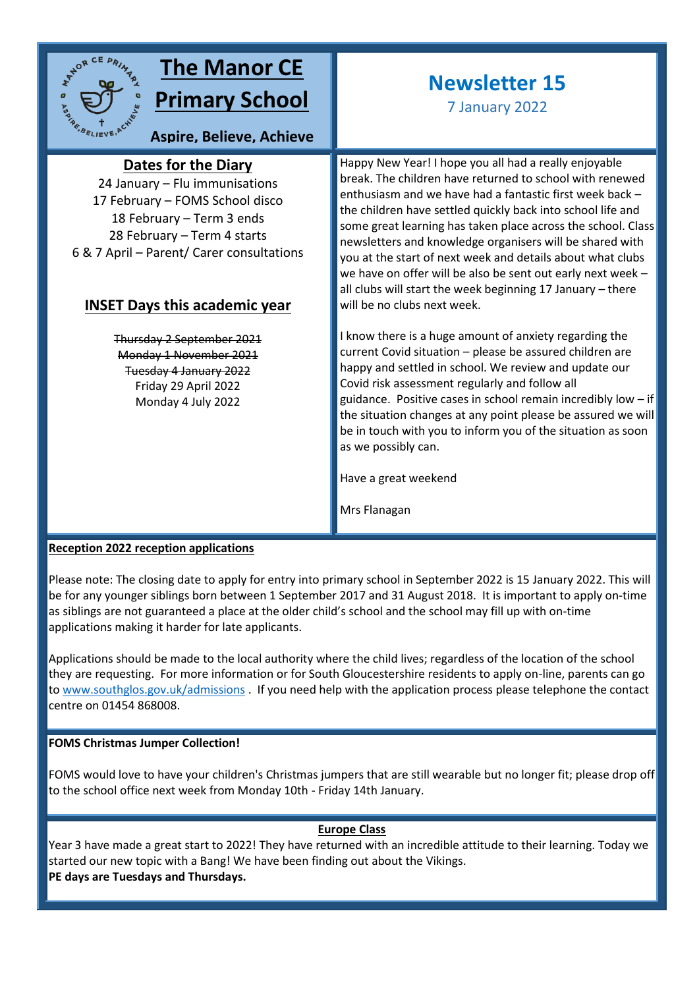

## **The Manor CE Primary School**

**Aspire, Believe, Achieve**

## **Dates for the Diary**

24 January – Flu immunisations **sky**17 February – FOMS School disco 18 February – Term 3 ends 28 February – Term 4 starts 6 & 7 April – Parent/ Carer consultations

### **INSET Days this academic year**

Thursday 2 September 2021 Monday 1 November 2021 Tuesday 4 January 2022 Friday 29 April 2022 Monday 4 July 2022

# **Newsletter 15**

7 January 2022

Happy New Year! I hope you all had a really enjoyable break. The children have returned to school with renewed enthusiasm and we have had a fantastic first week back – the children have settled quickly back into school life and some great learning has taken place across the school. Class newsletters and knowledge organisers will be shared with you at the start of next week and details about what clubs we have on offer will be also be sent out early next week – all clubs will start the week beginning 17 January – there will be no clubs next week.

I know there is a huge amount of anxiety regarding the current Covid situation – please be assured children are happy and settled in school. We review and update our Covid risk assessment regularly and follow all guidance. Positive cases in school remain incredibly low  $-$  if the situation changes at any point please be assured we will be in touch with you to inform you of the situation as soon as we possibly can.

Have a great weekend

Mrs Flanagan

#### **Reception 2022 reception applications**

Please note: The closing date to apply for entry into primary school in September 2022 is 15 January 2022. This will be for any younger siblings born between 1 September 2017 and 31 August 2018. It is important to apply on-time as siblings are not guaranteed a place at the older child's school and the school may fill up with on-time applications making it harder for late applicants.

Applications should be made to the local authority where the child lives; regardless of the location of the school they are requesting. For more information or for South Gloucestershire residents to apply on-line, parents can go to [www.southglos.gov.uk/admissions](http://www.southglos.gov.uk/admissions) . If you need help with the application process please telephone the contact centre on 01454 868008.

#### **FOMS Christmas Jumper Collection!**

FOMS would love to have your children's Christmas jumpers that are still wearable but no longer fit; please drop off to the school office next week from Monday 10th - Friday 14th January.

#### **Europe Class**

Year 3 have made a great start to 2022! They have returned with an incredible attitude to their learning. Today we started our new topic with a Bang! We have been finding out about the Vikings. **PE days are Tuesdays and Thursdays.**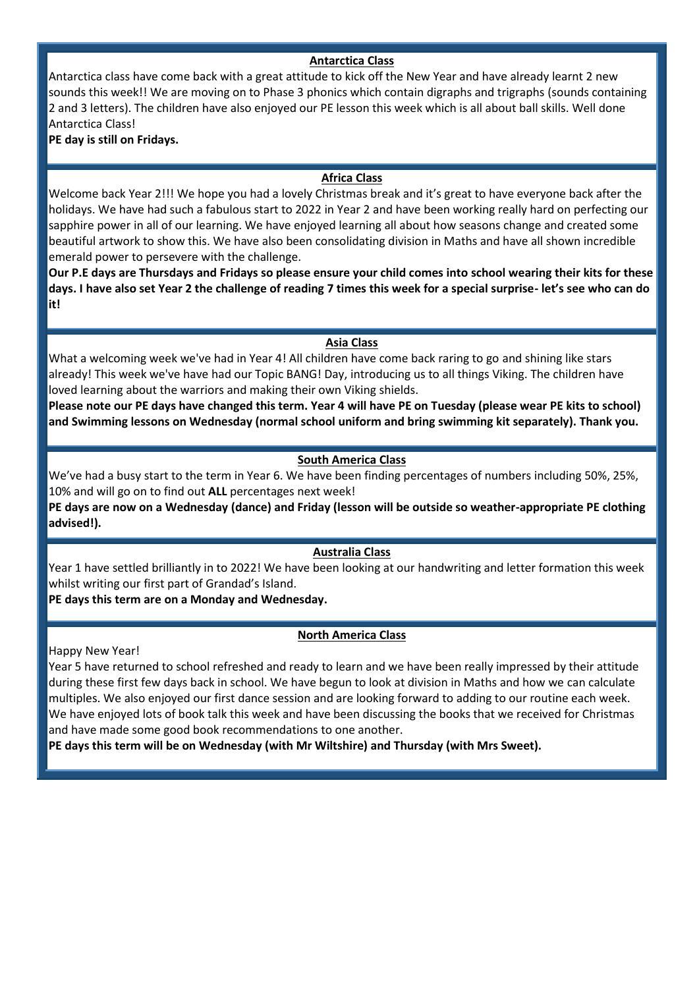#### **Antarctica Class**

Antarctica class have come back with a great attitude to kick off the New Year and have already learnt 2 new sounds this week!! We are moving on to Phase 3 phonics which contain digraphs and trigraphs (sounds containing 2 and 3 letters). The children have also enjoyed our PE lesson this week which is all about ball skills. Well done Antarctica Class!

#### **PE day is still on Fridays.**

#### **Africa Class**

Welcome back Year 2!!! We hope you had a lovely Christmas break and it's great to have everyone back after the holidays. We have had such a fabulous start to 2022 in Year 2 and have been working really hard on perfecting our sapphire power in all of our learning. We have enjoyed learning all about how seasons change and created some beautiful artwork to show this. We have also been consolidating division in Maths and have all shown incredible emerald power to persevere with the challenge.

**Our P.E days are Thursdays and Fridays so please ensure your child comes into school wearing their kits for these days. I have also set Year 2 the challenge of reading 7 times this week for a special surprise- let's see who can do it!** 

#### **Asia Class**

What a welcoming week we've had in Year 4! All children have come back raring to go and shining like stars already! This week we've have had our Topic BANG! Day, introducing us to all things Viking. The children have loved learning about the warriors and making their own Viking shields.

**Please note our PE days have changed this term. Year 4 will have PE on Tuesday (please wear PE kits to school) and Swimming lessons on Wednesday (normal school uniform and bring swimming kit separately). Thank you.**

#### **South America Class**

We've had a busy start to the term in Year 6. We have been finding percentages of numbers including 50%, 25%, 10% and will go on to find out **ALL** percentages next week!

**PE days are now on a Wednesday (dance) and Friday (lesson will be outside so weather-appropriate PE clothing advised!).**

#### **Australia Class**

Year 1 have settled brilliantly in to 2022! We have been looking at our handwriting and letter formation this week whilst writing our first part of Grandad's Island.

**PE days this term are on a Monday and Wednesday.**

#### **North America Class**

Happy New Year!

Year 5 have returned to school refreshed and ready to learn and we have been really impressed by their attitude during these first few days back in school. We have begun to look at division in Maths and how we can calculate multiples. We also enjoyed our first dance session and are looking forward to adding to our routine each week. We have enjoyed lots of book talk this week and have been discussing the books that we received for Christmas and have made some good book recommendations to one another.

**PE days this term will be on Wednesday (with Mr Wiltshire) and Thursday (with Mrs Sweet).**